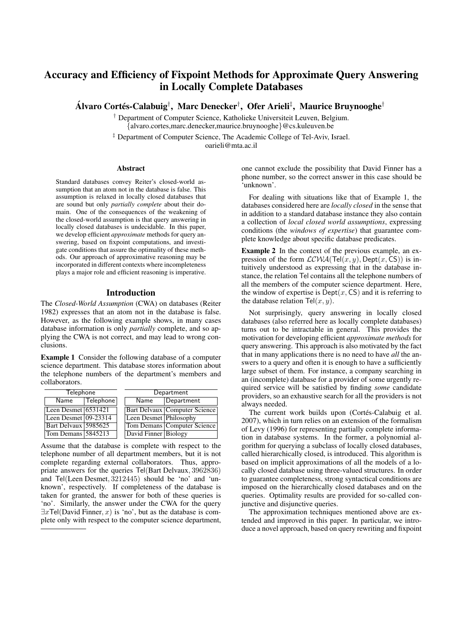# Accuracy and Efficiency of Fixpoint Methods for Approximate Query Answering in Locally Complete Databases

Álvaro Cortés-Calabuig†, Marc Denecker†, Ofer Arieli‡, Maurice Bruynooghe†

† Department of Computer Science, Katholieke Universiteit Leuven, Belgium. {alvaro.cortes,marc.denecker,maurice.bruynooghe}@cs.kuleuven.be

‡ Department of Computer Science, The Academic College of Tel-Aviv, Israel. oarieli@mta.ac.il

#### Abstract

Standard databases convey Reiter's closed-world assumption that an atom not in the database is false. This assumption is relaxed in locally closed databases that are sound but only *partially complete* about their domain. One of the consequences of the weakening of the closed-world assumption is that query answering in locally closed databases is undecidable. In this paper, we develop efficient *approximate* methods for query answering, based on fixpoint computations, and investigate conditions that assure the optimality of these methods. Our approach of approximative reasoning may be incorporated in different contexts where incompleteness plays a major role and efficient reasoning is imperative.

### Introduction

The *Closed-World Assumption* (CWA) on databases (Reiter 1982) expresses that an atom not in the database is false. However, as the following example shows, in many cases database information is only *partially* complete, and so applying the CWA is not correct, and may lead to wrong conclusions.

Example 1 Consider the following database of a computer science department. This database stores information about the telephone numbers of the department's members and collaborators.

| Telephone            |           | Department |                        |                                      |
|----------------------|-----------|------------|------------------------|--------------------------------------|
| Name                 | Telephone |            | Name                   | Department                           |
| Leen Desmet 6531421  |           |            |                        | <b>Bart Delvaux Computer Science</b> |
| Leen Desmet 09-23314 |           |            | Leen Desmet Philosophy |                                      |
| Bart Delvaux 5985625 |           |            |                        | <b>Tom Demans Computer Science</b>   |
| Tom Demans 5845213   |           |            | David Finner Biology   |                                      |

Assume that the database is complete with respect to the telephone number of all department members, but it is not complete regarding external collaborators. Thus, appropriate answers for the queries Tel(Bart Delvaux, 3962836) and Tel(Leen Desmet, 3212445) should be 'no' and 'unknown', respectively. If completeness of the database is taken for granted, the answer for both of these queries is 'no'. Similarly, the answer under the CWA for the query  $\exists x$ Tel(David Finner, x) is 'no', but as the database is complete only with respect to the computer science department, one cannot exclude the possibility that David Finner has a phone number, so the correct answer in this case should be 'unknown'.

For dealing with situations like that of Example 1, the databases considered here are *locally closed* in the sense that in addition to a standard database instance they also contain a collection of *local closed world assumptions*, expressing conditions (the *windows of expertise*) that guarantee complete knowledge about specific database predicates.

Example 2 In the context of the previous example, an expression of the form  $LCWA(Tel(x, y), Dept(x, CS))$  is intuitively understood as expressing that in the database instance, the relation Tel contains all the telephone numbers of all the members of the computer science department. Here, the window of expertise is  $\text{Depth}(x, \text{CS})$  and it is referring to the database relation  $\text{Tel}(x, y)$ .

Not surprisingly, query answering in locally closed databases (also referred here as locally complete databases) turns out to be intractable in general. This provides the motivation for developing efficient *approximate methods* for query answering. This approach is also motivated by the fact that in many applications there is no need to have *all* the answers to a query and often it is enough to have a sufficiently large subset of them. For instance, a company searching in an (incomplete) database for a provider of some urgently required service will be satisfied by finding *some* candidate providers, so an exhaustive search for all the providers is not always needed.

The current work builds upon (Cortés-Calabuig et al. 2007), which in turn relies on an extension of the formalism of Levy (1996) for representing partially complete information in database systems. In the former, a polynomial algorithm for querying a subclass of locally closed databases, called hierarchically closed, is introduced. This algorithm is based on implicit approximations of all the models of a locally closed database using three-valued structures. In order to guarantee completeness, strong syntactical conditions are imposed on the hierarchically closed databases and on the queries. Optimality results are provided for so-called conjunctive and disjunctive queries.

The approximation techniques mentioned above are extended and improved in this paper. In particular, we introduce a novel approach, based on query rewriting and fixpoint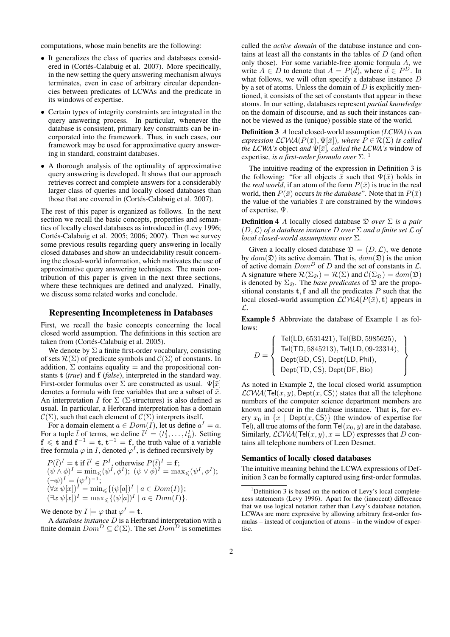computations, whose main benefits are the following:

- It generalizes the class of queries and databases considered in (Cortés-Calabuig et al. 2007). More specifically, in the new setting the query answering mechanism always terminates, even in case of arbitrary circular dependencies between predicates of LCWAs and the predicate in its windows of expertise.
- Certain types of integrity constraints are integrated in the query answering process. In particular, whenever the database is consistent, primary key constraints can be incorporated into the framework. Thus, in such cases, our framework may be used for approximative query answering in standard, constraint databases.
- A thorough analysis of the optimality of approximative query answering is developed. It shows that our approach retrieves correct and complete answers for a considerably larger class of queries and locally closed databases than those that are covered in (Cortés-Calabuig et al. 2007).

The rest of this paper is organized as follows. In the next section we recall the basic concepts, properties and semantics of locally closed databases as introduced in (Levy 1996; Cortés-Calabuig et al. 2005; 2006; 2007). Then we survey some previous results regarding query answering in locally closed databases and show an undecidability result concerning the closed-world information, which motivates the use of approximative query answering techniques. The main contribution of this paper is given in the next three sections, where these techniques are defined and analyzed. Finally, we discuss some related works and conclude.

# Representing Incompleteness in Databases

First, we recall the basic concepts concerning the local closed world assumption. The definitions in this section are taken from (Cortés-Calabuig et al. 2005).

We denote by  $\Sigma$  a finite first-order vocabulary, consisting of sets  $\mathcal{R}(\Sigma)$  of predicate symbols and  $\mathcal{C}(\Sigma)$  of constants. In addition,  $\Sigma$  contains equality = and the propositional constants t (*true*) and f (*false*), interpreted in the standard way. First-order formulas over  $\Sigma$  are constructed as usual.  $\Psi[\bar{x}]$ denotes a formula with free variables that are a subset of  $\bar{x}$ . An interpretation I for  $\Sigma$  ( $\Sigma$ -structures) is also defined as usual. In particular, a Herbrand interpretation has a domain  $C(\Sigma)$ , such that each element of  $C(\Sigma)$  interprets itself.

For a domain element  $a \in Dom(I)$ , let us define  $a^I = a$ . For a tuple  $\bar{t}$  of terms, we define  $\bar{t}^{\bar{I}} = (t_1^I, \ldots, t_n^I)$ . Setting  $f \leq t$  and  $f^{-1} = t$ ,  $t^{-1} = f$ , the truth value of a variable free formula  $\varphi$  in *I*, denoted  $\varphi$ <sup>*I*</sup>, is defined recursively by

$$
P(\bar{t})^I = \mathbf{t} \text{ if } \bar{t}^I \in P^I, \text{ otherwise } P(\bar{t})^I = \mathbf{f};
$$
  
\n
$$
(\psi \wedge \phi)^I = \min_{\leq} (\psi^I, \phi^I); \ (\psi \vee \phi)^I = \max_{\leq} (\psi^I, \phi^I);
$$
  
\n
$$
(\neg \psi)^I = (\psi^I)^{-1};
$$
  
\n
$$
(\forall x \ \psi[x])^I = \min_{\leq} \{ (\psi[a])^I \mid a \in Dom(I) \};
$$
  
\n
$$
(\exists x \ \psi[x])^I = \max_{\leq} \{ (\psi[a])^I \mid a \in Dom(I) \}.
$$

We denote by  $I \models \varphi$  that  $\varphi^I = \mathbf{t}$ .

A *database instance* D is a Herbrand interpretation with a finite domain  $Dom^D \subseteq \mathcal{C}(\Sigma)$ . The set  $Dom^D$  is sometimes

called the *active domain* of the database instance and contains at least all the constants in the tables of  $D$  (and often only those). For some variable-free atomic formula A, we write  $A \in D$  to denote that  $A = P(\bar{d})$ , where  $\bar{d} \in P^D$ . In what follows, we will often specify a database instance D by a set of atoms. Unless the domain of  $D$  is explicitly mentioned, it consists of the set of constants that appear in these atoms. In our setting, databases represent *partial knowledge* on the domain of discourse, and as such their instances cannot be viewed as the (unique) possible state of the world.

Definition 3 *A* local closed-world assumption *(LCWA) is an expression*  $LCWA(P(\bar{x}), \Psi[\bar{x}])$ *, where*  $P \in \mathcal{R}(\Sigma)$  *is called the LCWA's* object *and*  $\Psi[\bar{x}]$ *, called the LCWA's* window of expertise*, is a first-order formula over* Σ*.* 1

The intuitive reading of the expression in Definition 3 is the following: "for all objects  $\bar{x}$  such that  $\Psi(\bar{x})$  holds in the *real world*, if an atom of the form  $P(\bar{x})$  is true in the real world, then  $P(\bar{x})$  occurs *in the database*". Note that in  $P(\bar{x})$ the value of the variables  $\bar{x}$  are constrained by the windows of expertise, Ψ.

Definition 4 *A* locally closed database D *over* Σ *is a pair*  $(D, \mathcal{L})$  *of a database instance* D *over*  $\Sigma$  *and a finite set*  $\mathcal{L}$  *of local closed-world assumptions over* Σ*.*

Given a locally closed database  $\mathfrak{D} = (D, \mathcal{L})$ , we denote by  $dom(\mathfrak{D})$  its active domain. That is,  $dom(\mathfrak{D})$  is the union of active domain  $Dom^D$  of D and the set of constants in  $\mathcal{L}$ . A signature where  $\mathcal{R}(\Sigma_{\mathfrak{D}}) = \mathcal{R}(\Sigma)$  and  $\mathcal{C}(\Sigma_{\mathfrak{D}}) = dom(\mathfrak{D})$ is denoted by  $\Sigma_{\mathfrak{D}}$ . The *base predicates* of  $\mathfrak{D}$  are the propositional constants  $t, f$  and all the predicates  $P$  such that the local closed-world assumption  $LCWA(P(\bar{x}), t)$  appears in L.

Example 5 Abbreviate the database of Example 1 as follows:

$$
D = \left\{\begin{array}{l} \mathsf{Tel}(\mathsf{LD}, 6531421), \mathsf{Tel}(\mathsf{BD}, 5985625), \\ \mathsf{Tel}(\mathsf{TD}, 5845213), \mathsf{Tel}(\mathsf{LD}, 09\text{-}23314), \\ \mathsf{Depth}(\mathsf{BD},\mathsf{CS}), \mathsf{Depth}(\mathsf{LD},\mathsf{Phil}), \\ \mathsf{Depth}(\mathsf{TD},\mathsf{CS}), \mathsf{Depth}(\mathsf{DF},\mathsf{Bio}) \end{array}\right\}
$$

As noted in Example 2, the local closed world assumption  $LCWA(Tel(x, y), Dept(x, CS))$  states that all the telephone numbers of the computer science department members are known and occur in the database instance. That is, for every  $x_0$  in  $\{x \mid \text{Depth}(x, \text{CS})\}$  (the window of expertise for Tel), all true atoms of the form  $\text{Tel}(x_0, y)$  are in the database. Similarly,  $LCWA(Tel(x, y), x = LD)$  expresses that D contains all telephone numbers of Leen Desmet.

#### Semantics of locally closed databases

The intuitive meaning behind the LCWA expressions of Definition 3 can be formally captured using first-order formulas.

 $1$ Definition 3 is based on the notion of Levy's local completeness statements (Levy 1996). Apart for the (innocent) difference that we use logical notation rather than Levy's database notation, LCWAs are more expressive by allowing arbitrary first-order formulas – instead of conjunction of atoms – in the window of expertise.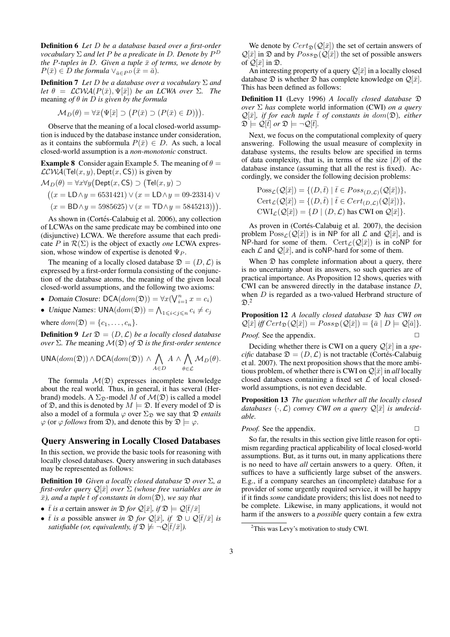Definition 6 *Let* D *be a database based over a first-order vocabulary* Σ *and let* P *be a predicate in* D*. Denote by* P D *the* P-tuples in D. Given a tuple  $\bar{x}$  of terms, we denote by  $P(\bar{x}) \in D$  *the formula*  $\vee_{\bar{a} \in P^D} (\bar{x} = \bar{a}).$ 

Definition 7 *Let* D *be a database over a vocabulary* Σ *and let*  $\theta = \mathcal{LCWA}(P(\bar{x}), \Psi[\bar{x}])$  *be an LCWA over*  $\Sigma$ *. The* meaning *of* θ *in* D *is given by the formula*

$$
\mathcal{M}_D(\theta) = \forall \bar{x} \big( \Psi[\bar{x}] \supset \big( P(\bar{x}) \supset (P(\bar{x}) \in D) \big) \big).
$$

Observe that the meaning of a local closed-world assumption is induced by the database instance under consideration, as it contains the subformula  $P(\bar{x}) \in D$ . As such, a local closed-world assumption is a *non-monotonic* construct.

**Example 8** Consider again Example 5. The meaning of  $\theta =$  $LCWA(Tel(x, y), Dept(x, CS))$  is given by

$$
\mathcal{M}_D(\theta) = \forall x \forall y (\text{Depth}(x, \text{CS}) \supset (\text{Tel}(x, y) \supset
$$

$$
((x = \text{LD} \land y = 6531421) \lor (x = \text{LD} \land y = 09\text{-}23314) \lor (x = \text{BD} \land y = 5985625) \lor (x = \text{TD} \land y = 5845213))).
$$

As shown in (Cortés-Calabuig et al. 2006), any collection of LCWAs on the same predicate may be combined into one (disjunctive) LCWA. We therefore assume that each predicate P in  $\mathcal{R}(\Sigma)$  is the object of exactly *one* LCWA expression, whose window of expertise is denoted  $\Psi_P$ .

The meaning of a locally closed database  $\mathfrak{D} = (D, \mathcal{L})$  is expressed by a first-order formula consisting of the conjunction of the database atoms, the meaning of the given local closed-world assumptions, and the following two axioms:

- Domain Closure:  $\text{DCA}(dom(\mathfrak{D})) = \forall x (\bigvee_{i=1}^{n} x = c_i)$
- Unique Names:  $\text{UNA}(dom(\mathfrak{D})) = \bigwedge_{1 \leq i < j \leq n} c_i \neq c_j$

where  $dom(\mathfrak{D}) = \{c_1, \ldots, c_n\}.$ 

**Definition 9** *Let*  $\mathfrak{D} = (D, \mathcal{L})$  *be a locally closed database over* Σ*. The* meaning M(D) *of* D *is the first-order sentence*

$$
\text{UNA}(dom(\mathfrak{D}))\wedge \text{DCA}(dom(\mathfrak{D})) \,\wedge\, \bigwedge_{A\in D} A\,\wedge\, \bigwedge_{\theta\in\mathcal{L}} \mathcal{M}_D(\theta).
$$

The formula  $\mathcal{M}(\mathfrak{D})$  expresses incomplete knowledge about the real world. Thus, in general, it has several (Herbrand) models. A  $\Sigma_{\mathfrak{D}}$ -model M of  $\mathcal{M}(\mathfrak{D})$  is called a model of  $\mathfrak{D}$ , and this is denoted by  $M \models \mathfrak{D}$ . If every model of  $\mathfrak{D}$  is also a model of a formula  $\varphi$  over  $\Sigma_{\mathfrak{D}}$  we say that  $\mathfrak{D}$  *entails*  $\varphi$  (or  $\varphi$  *follows* from  $\varphi$ ), and denote this by  $\varphi \models \varphi$ .

# Query Answering in Locally Closed Databases

In this section, we provide the basic tools for reasoning with locally closed databases. Query answering in such databases may be represented as follows:

Definition 10 *Given a locally closed database* D *over* Σ*, a first-order query* Q[¯x] *over* Σ *(whose free variables are in*  $\bar{x}$ *), and a tuple*  $\bar{t}$  *of constants in dom*( $\Omega$ *), we say that* 

- $\bar{t}$  *is a* certain answer *in*  $\mathfrak{D}$  *for*  $\mathcal{Q}[\bar{x}]$ *, if*  $\mathfrak{D} \models \mathcal{Q}[\bar{t}/\bar{x}]$
- $\bar{t}$  *is a* possible answer *in*  $\mathfrak{D}$  *for*  $\mathcal{Q}[\bar{x}]$ *, if*  $\mathfrak{D} \cup \mathcal{Q}[\bar{t}/\bar{x}]$  *is satisfiable (or, equivalently, if*  $\mathfrak{D} \not\models \neg \mathcal{Q}(\overline{t}/\overline{x})$ *).*

We denote by  $Cert_{\mathfrak{D}}(Q[\bar{x}])$  the set of certain answers of  $\mathcal{Q}[\bar{x}]$  in  $\mathfrak D$  and by  $Poss_{\mathfrak D}(\mathcal{Q}[\bar{x}])$  the set of possible answers of  $\mathcal{Q}[\bar{x}]$  in  $\mathfrak{D}$ .

An interesting property of a query  $\mathcal{Q}[\bar{x}]$  in a locally closed database  $\mathfrak D$  is whether  $\mathfrak D$  has complete knowledge on  $\mathcal Q[\bar x]$ . This has been defined as follows:

Definition 11 (Levy 1996) *A locally closed database* D *over* Σ *has* complete world information (CWI) *on a query*  $\mathcal{Q}[\bar{x}]$ *, if for each tuple*  $\bar{t}$  *of constants in dom*( $\mathcal{D}$ *), either*  $\mathfrak{D} \models \mathcal{Q}[t]$  or  $\mathfrak{D} \models \neg \mathcal{Q}[t]$ .

Next, we focus on the computational complexity of query answering. Following the usual measure of complexity in database systems, the results below are specified in terms of data complexity, that is, in terms of the size  $|D|$  of the database instance (assuming that all the rest is fixed). Accordingly, we consider the following decision problems:

$$
\begin{aligned} &\text{Poss}_{\mathcal{L}}(\mathcal{Q}[\bar{x}]) = \{ (D,\bar{t}) \mid \bar{t} \in Poss_{(D,\mathcal{L})}(\mathcal{Q}[\bar{x}]) \}, \\ &\text{Cert}_{\mathcal{L}}(\mathcal{Q}[\bar{x}]) = \{ (D,\bar{t}) \mid \bar{t} \in Cert_{(D,\mathcal{L})}(\mathcal{Q}[\bar{x}]) \}, \\ &\text{CWL}(\mathcal{Q}[\bar{x}]) = \{ D \mid (D,\mathcal{L}) \text{ has CWI on } \mathcal{Q}[\bar{x}] \}. \end{aligned}
$$

As proven in (Cortés-Calabuig et al. 2007), the decision problem  $Poss_{\mathcal{L}}(Q[\bar{x}]$  is in NP for all  $\mathcal{L}$  and  $\mathcal{Q}[\bar{x}]$ , and is NP-hard for some of them.  $Cert_{\mathcal{L}}(\mathcal{Q}[\bar{x}])$  is in coNP for each  $\mathcal L$  and  $\mathcal Q[\bar x]$ , and is coNP-hard for some of them.

When  $\mathfrak D$  has complete information about a query, there is no uncertainty about its answers, so such queries are of practical importance. As Proposition 12 shows, queries with CWI can be answered directly in the database instance D, when  $D$  is regarded as a two-valued Herbrand structure of  $\mathfrak{D}.^2$ 

Proposition 12 *A locally closed database* D *has CWI on*  $\mathcal{Q}[\bar{x}]$  *iff*  $Cert_{\mathfrak{D}}(\mathcal{Q}[\bar{x}]) = Poss_{\mathfrak{D}}(\mathcal{Q}[\bar{x}]) = {\overline{a} \mid D \models \mathcal{Q}[\bar{a}]}$ *.* 

*Proof.* See the appendix.

Deciding whether there is CWI on a query  $\mathcal{Q}[\bar{x}]$  in a *specific* database  $\mathfrak{D} = (D, \mathcal{L})$  is not tractable (Cortés-Calabuig et al. 2007). The next proposition shows that the more ambitious problem, of whether there is CWI on  $\mathcal{Q}[\bar{x}]$  in *all* locally closed databases containing a fixed set  $\mathcal L$  of local closedworld assumptions, is not even decidable.

Proposition 13 *The question whether all the locally closed databases*  $(\cdot, \mathcal{L})$  *convey CWI on a query*  $\mathcal{Q}[\bar{x}]$  *is undecidable.*

*Proof.* See the appendix. □

So far, the results in this section give little reason for optimism regarding practical applicability of local closed-world assumptions. But, as it turns out, in many applications there is no need to have *all* certain answers to a query. Often, it suffices to have a sufficiently large subset of the answers. E.g., if a company searches an (incomplete) database for a provider of some urgently required service, it will be happy if it finds *some* candidate providers; this list does not need to be complete. Likewise, in many applications, it would not harm if the answers to a *possible* query contain a few extra

<sup>&</sup>lt;sup>2</sup>This was Levy's motivation to study CWI.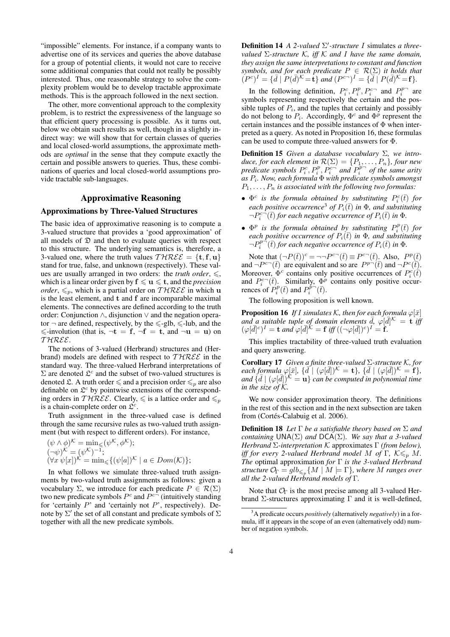"impossible" elements. For instance, if a company wants to advertise one of its services and queries the above database for a group of potential clients, it would not care to receive some additional companies that could not really be possibly interested. Thus, one reasonable strategy to solve the complexity problem would be to develop tractable approximate methods. This is the approach followed in the next section.

The other, more conventional approach to the complexity problem, is to restrict the expressiveness of the language so that efficient query processing is possible. As it turns out, below we obtain such results as well, though in a slightly indirect way: we will show that for certain classes of queries and local closed-world assumptions, the approximate methods are *optimal* in the sense that they compute exactly the certain and possible answers to queries. Thus, these combinations of queries and local closed-world assumptions provide tractable sub-languages.

## Approximative Reasoning

## Approximations by Three-Valued Structures

The basic idea of approximative reasoning is to compute a 3-valued structure that provides a 'good approximation' of all models of  $\mathfrak D$  and then to evaluate queries with respect to this structure. The underlying semantics is, therefore, a 3-valued one, where the truth values  $THREE = {t, f, u}$ stand for true, false, and unknown (respectively). These values are usually arranged in two orders: the *truth order*,  $\leq$ , which is a linear order given by  $f \leq u \leq t$ , and the *precision order*,  $\leq_{p}$ , which is a partial order on THREE in which u is the least element, and t and f are incomparable maximal elements. The connectives are defined according to the truth order: Conjunction ∧, disjunction ∨ and the negation operator  $\neg$  are defined, respectively, by the  $\leq$ -glb,  $\leq$ -lub, and the  $\le$ -involution (that is,  $\neg t = f$ ,  $\neg f = t$ , and  $\neg u = u$ ) on T HREE.

The notions of 3-valued (Herbrand) structures and (Herbrand) models are defined with respect to  $THREE$  in the standard way. The three-valued Herbrand interpretations of  $\Sigma$  are denoted  $\mathfrak{L}^c$  and the subset of two-valued structures is denoted  $\mathfrak{L}$ . A truth order  $\leq$  and a precision order  $\leq_p$  are also definable on  $\mathfrak{L}^c$  by pointwise extensions of the corresponding orders in THREE. Clearly,  $\leq$  is a lattice order and  $\leq_p$ is a chain-complete order on  $\mathfrak{L}^c$ .

Truth assignment in the three-valued case is defined through the same recursive rules as two-valued truth assignment (but with respect to different orders). For instance,

$$
(\psi \wedge \phi)^{\mathcal{K}} = \min_{\leq} (\psi^{\mathcal{K}}, \phi^{\mathcal{K}});
$$
  
\n
$$
(\neg \psi)^{\mathcal{K}} = (\psi^{\mathcal{K}})^{-1};
$$
  
\n
$$
(\forall x \ \psi[x])^{\mathcal{K}} = \min_{\leq} \{ (\psi[a])^{\mathcal{K}} \mid a \in Dom(\mathcal{K}) \};
$$

In what follows we simulate three-valued truth assignments by two-valued truth assignments as follows: given a vocabulary Σ, we introduce for each predicate  $P \in \mathcal{R}(\Sigma)$ two new predicate symbols  $P^c$  and  $P^{c-}$  (intuitively standing for 'certainly  $P$ ' and 'certainly not  $P$ ', respectively). Denote by  $\Sigma'$  the set of all constant and predicate symbols of  $\Sigma$ together with all the new predicate symbols.

Definition 14 *A 2-valued* Σ 0 *-structure* I simulates *a threevalued* Σ*-structure* K*, iff* K *and* I *have the same domain, they assign the same interpretations to constant and function symbols, and for each predicate*  $P \in \mathcal{R}(\Sigma)$  *it holds that*  $(P^c)^I = {\{\bar{d} \mid P(\bar{d})^K = \mathbf{t}\}}$  and  $(P^{c-})^I = {\{\bar{d} \mid P(\bar{d})^K = \mathbf{f}\}}$ .

In the following definition,  $P_i^c, P_i^p, P_i^{c-}$  and  $P_i^{p-}$  are symbols representing respectively the certain and the possible tuples of  $P_i$ , and the tuples that certainly and possibly do not belong to  $P_i$ . Accordingly,  $\Phi^c$  and  $\Phi^p$  represent the certain instances and the possible instances of  $\Phi$  when interpreted as a query. As noted in Proposition 16, these formulas can be used to compute three-valued answers for Φ.

Definition 15 *Given a database vocabulary* Σ*, we introduce, for each element in*  $\mathcal{R}(\Sigma) = \{P_1, \ldots, P_n\}$ *, four new predicate symbols*  $P_i^c, P_i^p, P_i^{c-'}$  and  $P_i^{p-}$  of the same arity *as* P<sup>i</sup> *. Now, each formula* Φ *with predicate symbols amongst*  $P_1, \ldots, P_n$  *is associated with the following two formulas:* 

- $\Phi^c$  *is the formula obtained by substituting*  $P_i^c(\bar{t})$  *for each positive occurrence*<sup>3</sup> *of*  $P_i(\bar{t})$  *in*  $\Phi$ *, and substituting*  $\neg P_i^{c-}(\bar{t})$  *for each negative occurrence of*  $P_i(\bar{t})$  *in*  $\Phi$ *.*
- $\Phi^p$  *is the formula obtained by substituting*  $P_i^p(\bar{t})$  *for each positive occurrence of*  $P_i(\bar{t})$  *in*  $\Phi$ *, and substituting*  $\neg P_i^{p-}(\bar{t})$  for each negative occurrence of  $P_i(\bar{t})$  in  $\Phi$ .

Note that  $(\neg P(\bar{t}))^c = \neg \neg P^{c\neg}(\bar{t}) \equiv P^{c\neg}(\bar{t})$ . Also,  $P^p(\bar{t})$ and  $\neg P^{c}(\bar{t})$  are equivalent and so are  $P^{p\to}(\bar{t})$  and  $\neg P^{c}(\bar{t})$ . Moreover,  $\Phi^c$  contains only positive occurrences of  $P_i^c(\vec{t})$ and  $P_i^{c-}(\bar{t})$ . Similarly,  $\Phi^p$  contains only positive occurrences of  $P_i^p(\bar{t})$  and  $P_i^{\bar{p}-}(\bar{t})$ .

The following proposition is well known.

**Proposition 16** *If I simulates*  $K$ *, then for each formula*  $\varphi[\bar{x}]$ and a suitable tuple of domain elements  $\bar{d}$ ,  $\varphi[\bar{d}]^{\mathcal{K}} = \mathbf{t}$  *if*  $(\varphi[\bar{d}]^c)^I = \mathbf{t}$  and  $\varphi[\bar{d}]^{\mathcal{K}} = \mathbf{f}$  iff  $((\neg \varphi[\bar{d}])^c)^I = \mathbf{f}$ .

This implies tractability of three-valued truth evaluation and query answering.

Corollary 17 *Given a finite three-valued* Σ*-structure* K*, for*  $\vec{e}$  *each formula*  $\varphi[\bar{x}], \{ \bar{d}^{\dagger} | (\varphi[\bar{d}])^{\mathcal{K}} = \mathbf{t} \}, \{ \bar{d} | (\varphi[\bar{d}])^{\mathcal{K}} = \mathbf{f} \},$ and  $\{d\bar{d} | (\varphi[\bar{d}])^k = \mathbf{u}\}\$ can be computed in polynomial time *in the size of* K*.*

We now consider approximation theory. The definitions in the rest of this section and in the next subsection are taken from (Cortés-Calabuig et al. 2006).

Definition 18 *Let* Γ *be a satisfiable theory based on* Σ *and containing* UNA(Σ) *and* DCA(Σ)*. We say that a 3-valued Herbrand* Σ*-interpretation* K approximates Γ *(from below), iff for every 2-valued Herbrand model M of* Γ,  $K \leq p M$ . *The* optimal approximation *for* Γ *is the 3-valued Herbrand structure*  $\mathcal{O}_{\Gamma} = glb_{\leqslant_p}\{M \mid M \models \Gamma\}$ , where M ranges over *all the 2-valued Herbrand models of* Γ*.*

Note that  $\mathcal{O}_\Gamma$  is the most precise among all 3-valued Herbrand Σ-structures approximating Γ and it is well-defined,

<sup>3</sup>A predicate occurs *positively* (alternatively *negatively*) in a formula, iff it appears in the scope of an even (alternatively odd) number of negation symbols.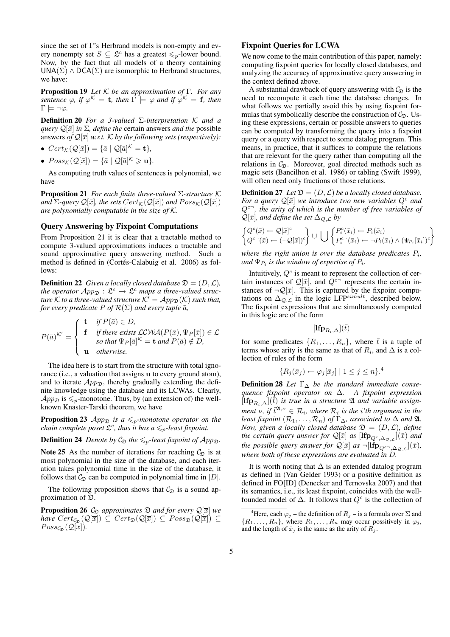since the set of Γ's Herbrand models is non-empty and every nonempty set  $S \subseteq \mathfrak{L}^c$  has a greatest  $\leq_p$ -lower bound. Now, by the fact that all models of a theory containing  $UNA(\Sigma) \wedge DCA(\Sigma)$  are isomorphic to Herbrand structures, we have:

Proposition 19 *Let* K *be an approximation of* Γ*. For any sentence*  $\varphi$ *, if*  $\varphi^{\mathcal{K}} = \mathbf{t}$ *, then*  $\Gamma \models \varphi$  *and if*  $\varphi^{\mathcal{K}} = \mathbf{f}$ *, then*  $\Gamma \models \neg \varphi$ *.* 

Definition 20 *For a 3-valued* Σ*-interpretation* K *and a query*  $\mathcal{Q}[\bar{x}]$  *in*  $\Sigma$ *, define the* certain answers *and the* possible answers *of*  $\mathcal{Q}[\overline{x}]$  *w.r.t.* K *by the following sets (respectively):* 

- $Cert_{\mathcal{K}}(\mathcal{Q}[\bar{x}]) = {\bar{a} \mid \mathcal{Q}[\bar{a}]^{\mathcal{K}}} = \mathbf{t}}$ ,
- $Poss_{\mathcal{K}}(\mathcal{Q}[\bar{x}]) = {\bar{a} \mid \mathcal{Q}[\bar{a}]^{\mathcal{K}}} \geq \mathbf{u}}.$

As computing truth values of sentences is polynomial, we have

Proposition 21 *For each finite three-valued* Σ*-structure* K *and*  $\Sigma$ -query  $\mathcal{Q}[\bar{x}]$ *, the sets*  $Cert_{\mathcal{K}}(\mathcal{Q}[\bar{x}])$  *and*  $Poss_{\mathcal{K}}(\mathcal{Q}[\bar{x}])$ *are polynomially computable in the size of* K*.*

### Query Answering by Fixpoint Computations

From Proposition 21 it is clear that a tractable method to compute 3-valued approximations induces a tractable and sound approximative query answering method. Such a method is defined in (Cortés-Calabuig et al. 2006) as follows:

**Definition 22** *Given a locally closed database*  $\mathfrak{D} = (D, \mathcal{L})$ *, the operator*  $App_{\mathfrak{D}} : \mathfrak{L}^c \to \mathfrak{L}^c$  *maps a three-valued structure*  $\hat{K}$  *to a three-valued structure*  $\hat{K}^{\prime} = App_{\mathfrak{D}}(\hat{K})$  *such that, for every predicate*  $P$  *of*  $\mathcal{R}(\Sigma)$  *and every tuple*  $\bar{a}$ *,* 

$$
P(\bar{a})^{K'} = \begin{cases} \mathbf{t} & \text{if } P(\bar{a}) \in D, \\ \mathbf{f} & \text{if there exists } \mathcal{LCWA}(P(\bar{x}), \Psi_P[\bar{x}]) \in \mathcal{L} \\ & \text{so that } \Psi_P[\bar{a}]^{K} = \mathbf{t} \text{ and } P(\bar{a}) \notin D, \\ \mathbf{u} & \text{otherwise.} \end{cases}
$$

The idea here is to start from the structure with total ignorance (i.e., a valuation that assigns u to every ground atom), and to iterate  $App_{\mathcal{D}}$ , thereby gradually extending the definite knowledge using the database and its LCWAs. Clearly,  $App_{\mathfrak{D}}$  is  $\leq_p$ -monotone. Thus, by (an extension of) the wellknown Knaster-Tarski theorem, we have

**Proposition 23** App<sub> $\mathcal{D}$ </sub> is a  $\leq_{p}$ -monotone operator on the *chain complete poset*  $\mathfrak{L}^c$ , thus it has  $a \leq_p$ -least fixpoint.

**Definition 24** *Denote by*  $C_{\mathfrak{D}}$  *the*  $\leq_p$ *-least fixpoint of App*<sub> $\mathfrak{D}$ *.*</sub>

Note 25 As the number of iterations for reaching  $C_{\Omega}$  is at most polynomial in the size of the database, and each iteration takes polynomial time in the size of the database, it follows that  $\mathcal{C}_{\mathfrak{D}}$  can be computed in polynomial time in  $|D|$ .

The following proposition shows that  $C_{\mathfrak{D}}$  is a sound approximation of D.

**Proposition 26**  $\mathcal{C}_{\mathfrak{D}}$  approximates  $\mathfrak{D}$  and for every  $\mathcal{Q}[\overline{x}]$  we *have*  $Cert_{\mathcal{C}_{\mathfrak{D}}}(\mathcal{Q}[\overline{x}]) \subseteq Cert_{\mathfrak{D}}(\mathcal{Q}[\overline{x}]) \subseteq Poss_{\mathfrak{D}}(\mathcal{Q}[\overline{x}]) \subseteq$  $Poss_{\mathcal{C}_{\mathcal{D}}}(\mathcal{Q}[\overline{x}]).$ 

## Fixpoint Queries for LCWA

We now come to the main contribution of this paper, namely: computing fixpoint queries for locally closed databases, and analyzing the accuracy of approximative query answering in the context defined above.

A substantial drawback of query answering with  $C_{\mathfrak{D}}$  is the need to recompute it each time the database changes. In what follows we partially avoid this by using fixpoint formulas that symbolically describe the construction of  $C_{\Omega}$ . Using these expressions, certain or possible answers to queries can be computed by transforming the query into a fixpoint query or a query with respect to some datalog program. This means, in practice, that it suffices to compute the relations that are relevant for the query rather than computing all the relations in  $C_{\mathfrak{D}}$ . Moreover, goal directed methods such as magic sets (Bancilhon et al. 1986) or tabling (Swift 1999), will often need only fractions of those relations.

**Definition 27** Let  $\mathfrak{D} = (D, \mathcal{L})$  be a locally closed database. *For a query*  $\mathcal{Q}[\bar{x}]$  *we introduce two new variables*  $Q^c$  *and*  $Q^{c-}$ , the arity of which is the number of free variables of  $\mathcal{Q}[\bar{x}]$ *, and define the set*  $\Delta_{\mathcal{Q},\mathcal{L}}$  by

$$
\begin{Bmatrix} Q^c(\bar{x}) \leftarrow \mathcal{Q}[\bar{x}]^c \\ Q^{c\frown}(\bar{x}) \leftarrow (\neg \mathcal{Q}[\bar{x}])^c \end{Bmatrix} \cup \bigcup \begin{Bmatrix} P_i^c(\bar{x}_i) \leftarrow P_i(\bar{x}_i) \\ P_i^{c\frown}(\bar{x}_i) \leftarrow \neg P_i(\bar{x}_i) \land (\Psi_{P_i}[\bar{x}_i])^c \end{Bmatrix}
$$

where the right union is over the database predicates  $P_i$ , and  $\Psi_{P_i}$  is the window of expertise of  $P_i$ .

Intuitively,  $Q<sup>c</sup>$  is meant to represent the collection of certain instances of  $\mathcal{Q}[\bar{x}]$ , and  $Q^{c-}$  represents the certain instances of  $\neg \mathcal{Q}[\bar{x}]$ . This is captured by the fixpoint computations on  $\Delta_{\mathcal{Q},\mathcal{L}}^{\mathcal{Q}}$  in the logic LFP<sup>simult</sup>, described below. The fixpoint expressions that are simultaneously computed in this logic are of the form

$$
[\mathbf{lfp}_{R_i,\Delta}](\bar{t})
$$

for some predicates  $\{R_1, \ldots, R_n\}$ , where  $\bar{t}$  is a tuple of terms whose arity is the same as that of  $R_i$ , and  $\Delta$  is a collection of rules of the form

$$
\{R_j(\bar{x}_j) \leftarrow \varphi_j[\bar{x}_j] \mid 1 \le j \le n\}.
$$

Definition 28 *Let* Γ<sup>∆</sup> *be the standard immediate consequence fixpoint operator on* ∆*. A fixpoint expression*  $[\mathbf{Ifp}_{R_i,\Delta}](\bar{t})$  *is true in a structure*  $\mathfrak A$  *and variable assignment*  $\nu$ , if  $\bar{t}^{\mathfrak{A},\nu} \in \mathcal{R}_i$ , where  $\mathcal{R}_i$  is the *i*'th argument in the *least fixpoint*  $(R_1, \ldots, R_n)$  *of*  $\Gamma_{\Delta}$ *, associated to*  $\Delta$  *and*  $\mathfrak{A}$ *. Now, given a locally closed database*  $\mathfrak{D} = (D, \mathcal{L})$ *, define the certain query answer for*  $\mathcal{Q}[\bar{x}]$  *as*  $[\mathbf{lfp}_{Q^c,\Delta_\mathcal{Q},\mathcal{L}}](\bar{x})$  *and the possible query answer for*  $\mathcal{Q}[\bar{x}]$  *as*  $\neg[\mathbf{Ifp}_{Q^{c-}, \Delta_{\mathcal{Q}, \mathcal{L}}}](\bar{x})$ *, where both of these expressions are evaluated in* D*.*

It is worth noting that  $\Delta$  is an extended datalog program as defined in (Van Gelder 1993) or a positive definition as defined in FO[ID] (Denecker and Ternovska 2007) and that its semantics, i.e., its least fixpoint, coincides with the wellfounded model of  $\Delta$ . It follows that  $Q^c$  is the collection of

<sup>&</sup>lt;sup>4</sup>Here, each  $\varphi_j$  – the definition of  $R_j$  – is a formula over  $\Sigma$  and  $\{R_1, \ldots, R_n\}$ , where  $R_1, \ldots, R_n$  may occur possitively in  $\varphi_j$ , and the length of  $\bar{x}_j$  is the same as the arity of  $R_j$ .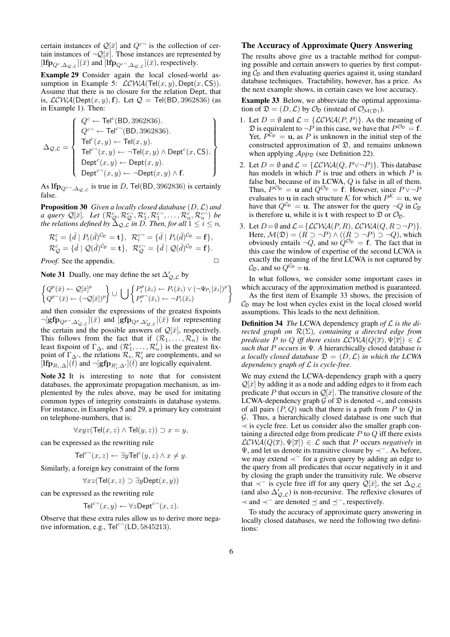certain instances of  $\mathcal{Q}[\bar{x}]$  and  $Q^{c-}$  is the collection of certain instances of  $\neg Q[\overline{\overline{x}}]$ . Those instances are represented by [lfp<sub>Q<sup>c</sup>, $\Delta_{\mathcal{Q},c}$ ]( $\bar{x}$ ) and [lfp<sub>Q</sub><sub>c</sub>-<sub>, $\Delta_{\mathcal{Q},c}$ ]( $\bar{x}$ ), respectively.</sub></sub>

Example 29 Consider again the local closed-world assumption in Example 5:  $LCWA(Tel(x, y), Dept(x, CS)).$ Assume that there is no closure for the relation Dept, that is,  $LCWA(Dept(x, y), f)$ . Let  $Q = Tel(BD, 3962836)$  (as in Example 1). Then:

$$
\Delta_{\mathcal{Q},\mathcal{L}} = \left\{\begin{array}{l} Q^c \leftarrow \text{Tel}^c(\text{BD}, 3962836). \\ Q^{c\neg} \leftarrow \text{Tel}^{c\neg}(\text{BD}, 3962836). \\ \text{Tel}^c(x,y) \leftarrow \text{Tel}(x,y). \\ \text{Tel}^{c\neg}(x,y) \leftarrow \neg \text{Tel}(x,y) \wedge \text{Depth}^c(x,\text{CS}). \\ \text{Depth}^c(x,y) \leftarrow \text{Depth}(x,y). \\ \text{Depth}^{c\neg}(x,y) \leftarrow \neg \text{Depth}(x,y) \wedge \text{f}. \end{array}\right. \right\}
$$

As  $\mathbf{lip}_{Q^{c-}, \Delta_{\mathcal{Q}, \mathcal{L}}}$  is true in D, Tel(BD, 3962836) is certainly false.

Proposition 30 *Given a locally closed database* (D,L) *and a query*  $\mathcal{Q}[\bar{x}]$ . Let  $(\mathcal{R}_{\mathcal{Q}}^c, \mathcal{R}_{\mathcal{Q}}^{c-}, \mathcal{R}_1^c, \mathcal{R}_1^{c-}, \ldots, \mathcal{R}_n^c, \mathcal{R}_n^{c-})$  be *the relations defined by*  $\tilde{\Delta}_{\mathcal{Q},\mathcal{L}}$  *in D. Then, for all*  $1\leq i\leq n$ *,* 

$$
\mathcal{R}_i^c = \{ \bar{d} \mid P_i(\bar{d})^{C_{\mathfrak{D}}} = \mathbf{t} \}, \ \mathcal{R}_i^{c-} = \{ \bar{d} \mid P_i(\bar{d})^{C_{\mathfrak{D}}} = \mathbf{f} \}, \n\mathcal{R}_{\mathcal{Q}}^c = \{ \bar{d} \mid \mathcal{Q}(\bar{d})^{C_{\mathfrak{D}}} = \mathbf{t} \}, \ \mathcal{R}_{\mathcal{Q}}^{c-} = \{ \bar{d} \mid \mathcal{Q}(\bar{d})^{C_{\mathfrak{D}}} = \mathbf{f} \}.
$$

*Proof.* See the appendix. □

Note 31 Dually, one may define the set  $\Delta'_{\mathcal{Q},\mathcal{L}}$  by

$$
\begin{Bmatrix} Q^p(\bar{x}) \leftarrow \mathcal{Q}[\bar{x}]^p \\ Q^{p-}(\bar{x}) \leftarrow (\neg \mathcal{Q}[\bar{x}])^p \end{Bmatrix} \cup \left\{ \begin{Bmatrix} P_i^p(\bar{x}_i) \leftarrow P_i(\bar{x}_i) \vee (\neg \Psi_{P_i}[\bar{x}_i])^p \\ P_i^{p-}(\bar{x}_i) \leftarrow \neg P_i(\bar{x}_i) \end{Bmatrix} \right\}
$$

and then consider the expressions of the greatest fixpoints  $\neg[\mathsf{gfp}_{Q^{p-},\Delta'_{\mathcal{Q},\mathcal{L}}]}(\bar{x})$  and  $[\mathsf{gfp}_{Q^p,\Delta'_{\mathcal{Q},\mathcal{L}}}](\bar{x})$  for representing the certain and the possible answers of  $\mathcal{Q}[\bar{x}]$ , respectively. This follows from the fact that if  $(\mathcal{R}_1, \ldots, \mathcal{R}_n)$  is the least fixpoint of  $\Gamma_{\Delta}$ , and  $(\mathcal{R}'_1, \ldots, \mathcal{R}'_n)$  is the greatest fixpoint of  $\Gamma_{\Delta}$ , the relations  $\mathcal{R}_i$ ,  $\mathcal{R}'_i$  are complements, and so [lfp<sub>R<sub>i</sub>,∆]( $\overline{t}$ ) and  $\neg[\text{gfp}_{R'_i,\Delta'}](\overline{t})$  are logically equivalent.</sub>

Note 32 It is interesting to note that for consistent databases, the approximate propagation mechanism, as implemented by the rules above, may be used for imitating common types of integrity constraints in database systems. For instance, in Examples 5 and 29, a primary key constraint on telephone-numbers, that is:

$$
\forall xyz(\mathsf{Tel}(x,z) \land \mathsf{Tel}(y,z)) \supset x = y,
$$

can be expressed as the rewriting rule

$$
\mathsf{Tel}^{c-}(x,z) \leftarrow \exists y \mathsf{Tel}^{c}(y,z) \land x \neq y.
$$

Similarly, a foreign key constraint of the form

$$
\forall x z (\mathsf{Tel}(x, z) \supset \exists y \mathsf{Depth}(x, y))
$$

can be expressed as the rewriting rule

$$
\mathsf{Tel}^{c-}(x,y) \leftarrow \forall z \mathsf{Depth}^{c-}(x,z).
$$

Observe that these extra rules allow us to derive more negative information, e.g.,  $\text{Tel}^{c-}(\text{LD}, 5845213)$ .

## The Accuracy of Approximate Query Answering

The results above give us a tractable method for computing possible and certain answers to queries by first computing  $C_{\mathfrak{D}}$  and then evaluating queries against it, using standard database techniques. Tractability, however, has a price. As the next example shows, in certain cases we lose accuracy.

Example 33 Below, we abbreviate the optimal approximation of  $\mathfrak{D} = (D, \mathcal{L})$  by  $\mathcal{O}_{\mathfrak{D}}$  (instead of  $\mathcal{O}_{\mathcal{M}(\mathfrak{D})}$ ).

- 1. Let  $D = \emptyset$  and  $\mathcal{L} = \{ \mathcal{LCWA}(P, P) \}$ . As the meaning of  $\mathfrak D$  is equivalent to  $\neg P$  in this case, we have that  $P^{\mathcal O_{\mathfrak D}} = \mathbf f$ . Yet,  $P^{\mathcal{C}_{\mathfrak{D}}} = \mathbf{u}$ , as P is unknown in the initial step of the constructed approximation of  $\mathfrak{D}$ , and remains unknown when applying  $App_{\mathfrak{D}}$  (see Definition 22).
- 2. Let  $D = \emptyset$  and  $\mathcal{L} = \{ \mathcal{LCWA}(Q, P \lor \neg P) \}.$  This database has models in which  $P$  is true and others in which  $P$  is false but, because of its LCWA, Q is false in all of them. Thus,  $P^{\mathcal{O}_{\mathfrak{D}}} = \mathbf{u}$  and  $Q^{\mathcal{O}_{\mathfrak{D}}} = \mathbf{f}$ . However, since  $P \vee \neg P$ evaluates to **u** in each structure K for which  $P^{K} = \mathbf{u}$ , we have that  $Q^{\mathcal{C}_{\mathfrak{D}}} = \mathbf{u}$ . The answer for the query  $\neg Q$  in  $\mathcal{C}_{\mathfrak{D}}$ is therefore u, while it is t with respect to  $\mathfrak{D}$  or  $\mathcal{O}_{\mathfrak{D}}$ .
- 3. Let  $D = \emptyset$  and  $\mathcal{L} = \{ \mathcal{LCWA}(P, R), \mathcal{LCWA}(Q, R \supset \neg P) \}.$ Here,  $\mathcal{M}(\mathfrak{D}) = (R \supset \neg P) \wedge ((R \supset \neg P) \supset \neg Q)$ , which obviously entails  $\neg Q$ , and so  $\hat{Q}^{\mathcal{O}_{\mathfrak{D}}} = \mathbf{f}$ . The fact that in this case the window of expertise of the second LCWA is exactly the meaning of the first LCWA is not captured by  $\mathcal{C}_{\mathfrak{D}}$ , and so  $Q^{\mathcal{C}_{\mathfrak{D}}} = \mathbf{u}$ .

In what follows, we consider some important cases in which accuracy of the approximation method is guaranteed.

As the first item of Example 33 shows, the precision of  $C_{\mathfrak{D}}$  may be lost when cycles exist in the local closed world assumptions. This leads to the next definition.

Definition 34 *The* LCWA dependency graph *of* L *is the directed graph on* R(Σ)*, containing a directed edge from predicate* P *to* Q *iff there exists*  $\mathcal{LCWA}(Q(\overline{x}), \Psi[\overline{x}]) \in \mathcal{L}$ *such that* P *occurs in* Ψ*. A* hierarchically closed database *is a locally closed database*  $\mathfrak{D} = (D, \mathcal{L})$  *in which the LCWA dependency graph of* L *is cycle-free.*

We may extend the LCWA-dependency graph with a query  $\mathcal{Q}[\bar{x}]$  by adding it as a node and adding edges to it from each predicate P that occurs in  $\mathcal{Q}[\bar{x}]$ . The transitive closure of the LCWA-dependency graph  $\mathcal G$  of  $\mathfrak D$  is denoted  $\prec$ , and consists of all pairs  $(P, Q)$  such that there is a path from P to Q in  $G$ . Thus, a hierarchically closed database is one such that  $\prec$  is cycle free. Let us consider also the smaller graph containing a directed edge from predicate  $P$  to  $Q$  iff there exists  $LCWA(Q(\overline{x}), \Psi[\overline{x}]) \in \mathcal{L}$  such that P occurs *negatively* in Ψ, and let us denote its transitive closure by ≺<sup>−</sup>. As before, we may extend ≺<sup>−</sup> for a given query by adding an edge to the query from all predicates that occur negatively in it and by closing the graph under the transitivity rule. We observe that  $\prec^-$  is cycle free iff for any query  $\mathcal{Q}[\bar{x}]$ , the set  $\Delta_{\mathcal{Q},\mathcal{L}}$ (and also  $\Delta'_{Q,\mathcal{L}}$ ) is non-recursive. The reflexive closures of  $\prec$  and  $\prec^-$  are denoted  $\preceq$  and  $\preceq^-$ , respectively.

To study the accuracy of approximate query answering in locally closed databases, we need the following two definitions: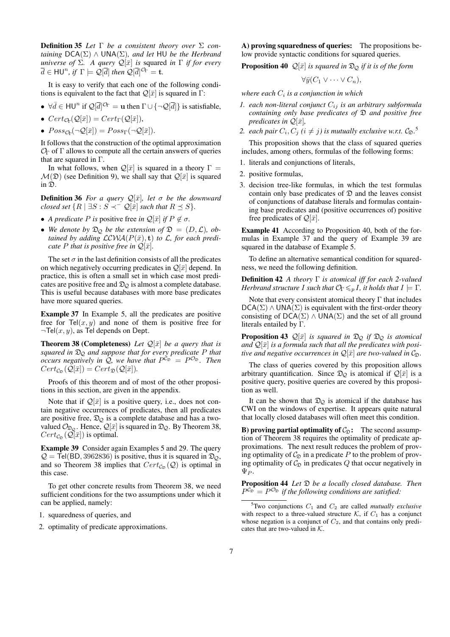Definition 35 *Let* Γ *be a consistent theory over* Σ *containing* DCA(Σ) ∧ UNA(Σ)*, and let* HU *be the Herbrand universe of*  $\Sigma$ *. A query*  $\mathcal{Q}[\bar{x}]$  *is squared in*  $\Gamma$  *if for every*  $\overline{d} \in$  HU<sup>n</sup>, if  $\Gamma \models \mathcal{Q}[\overline{d}]$  then  $\mathcal{Q}[\overline{d}]^{\mathcal{O}_{\Gamma}} =$  **t**.

It is easy to verify that each one of the following conditions is equivalent to the fact that  $\mathcal{Q}[\bar{x}]$  is squared in Γ:

- $\forall \bar{d} \in H\cup^{n}$  if  $\mathcal{Q}[\bar{d}]^{\mathcal{O}_{\Gamma}} = \mathbf{u}$  then  $\Gamma \cup \{\neg \mathcal{Q}[\bar{d}]\}$  is satisfiable,
- $Cert_{\mathcal{O}_{\Gamma}}(\mathcal{Q}[\bar{x}]) = Cert_{\Gamma}(\mathcal{Q}[\bar{x}]),$
- $Poss_{\mathcal{O}_{\Gamma}}(\neg \mathcal{Q}[\bar{x}]) = Poss_{\Gamma}(\neg \mathcal{Q}[\bar{x}]).$

It follows that the construction of the optimal approximation  $\mathcal{O}_\Gamma$  of  $\Gamma$  allows to compute all the certain answers of queries that are squared in  $\Gamma$ .

In what follows, when  $\mathcal{Q}[\bar{x}]$  is squared in a theory  $\Gamma =$  $\mathcal{M}(\mathfrak{D})$  (see Definition 9), we shall say that  $\mathcal{Q}[\bar{x}]$  is squared in D.

**Definition 36** *For a query*  $\mathcal{Q}[\bar{x}]$ *, let*  $\sigma$  *be the downward closed set*  $\{R \mid \exists S : S \prec^{-} \mathcal{Q}[\bar{x}]$  *such that*  $R \preceq S\}$ *.* 

- *A predicate P is* positive free *in*  $\mathcal{Q}[\bar{x}]$  *if*  $P \notin \sigma$ *.*
- We denote by  $\mathfrak{D}_{\mathcal{Q}}$  be the extension of  $\mathfrak{D} = (D, \mathcal{L})$ , ob*tained by adding*  $LCWA(P(\bar{x}), t)$  *to L, for each predicate P that is positive free in*  $\mathcal{Q}[\bar{x}]$ *.*

The set  $\sigma$  in the last definition consists of all the predicates on which negatively occurring predicates in  $\mathcal{Q}[\bar{x}]$  depend. In practice, this is often a small set in which case most predicates are positive free and  $\mathfrak{D}_{\mathcal{O}}$  is almost a complete database. This is useful because databases with more base predicates have more squared queries.

Example 37 In Example 5, all the predicates are positive free for  $\text{Tel}(x, y)$  and none of them is positive free for  $\neg$ Tel $(x, y)$ , as Tel depends on Dept.

**Theorem 38 (Completeness)** Let  $\mathcal{Q}[\bar{x}]$  be a query that is *squared in* D<sup>Q</sup> *and suppose that for every predicate* P *that occurs negatively in*  $\hat{Q}$ , we have that  $P^{\hat{C}_{\hat{\mathfrak{D}}}} = P^{\hat{C}_{\hat{\mathfrak{D}}}}$ . Then  $Cert_{\mathcal{C}_{\mathcal{D}}}(\mathcal{Q}[\bar{x}]) = Cert_{\mathcal{D}}(\mathcal{Q}[\bar{x}]).$ 

Proofs of this theorem and of most of the other propositions in this section, are given in the appendix.

Note that if  $\mathcal{Q}[\bar{x}]$  is a positive query, i.e., does not contain negative occurrences of predicates, then all predicates are positive free,  $\mathfrak{D}_{\mathcal{Q}}$  is a complete database and has a twovalued  $\mathcal{O}_{\mathfrak{D}_{\mathcal{O}}}$ . Hence,  $\mathcal{Q}[\bar{x}]$  is squared in  $\mathfrak{D}_{\mathcal{Q}}$ . By Theorem 38,  $Cert_{\mathcal{C}_{\mathfrak{D}}}(\mathcal{Q}[\bar{x}])$  is optimal.

Example 39 Consider again Examples 5 and 29. The query  $Q = \text{Tel(BD, 3962836)}$  is positive, thus it is squared in  $\mathfrak{D}_{Q}$ , and so Theorem 38 implies that  $Cert_{\mathcal{C}_{\mathcal{D}}}(\mathcal{Q})$  is optimal in this case.

To get other concrete results from Theorem 38, we need sufficient conditions for the two assumptions under which it can be applied, namely:

- 1. squaredness of queries, and
- 2. optimality of predicate approximations.

A) proving squaredness of queries: The propositions below provide syntactic conditions for squared queries.

**Proposition 40**  $\mathcal{Q}[\bar{x}]$  *is squared in*  $\mathfrak{D}_{\mathcal{Q}}$  *if it is of the form* 

$$
\forall \bar{y}(C_1 \vee \cdots \vee C_n),
$$

*where each* C<sup>i</sup> *is a conjunction in which*

- *1. each non-literal conjunct*  $C_{ij}$  *is an arbitrary subformula containing only base predicates of* D *and positive free predicates in*  $\mathcal{Q}[\bar{x}]$ *,*
- 2. each pair  $C_i$ ,  $C_j$  ( $i \neq j$ ) is mutually exclusive w.r.t.  $C_{\mathfrak{D}}$ .<sup>5</sup>

This proposition shows that the class of squared queries includes, among others, formulas of the following forms:

- 1. literals and conjunctions of literals,
- 2. positive formulas,
- 3. decision tree-like formulas, in which the test formulas contain only base predicates of  $\mathfrak D$  and the leaves consist of conjunctions of database literals and formulas containing base predicates and (positive occurrences of) positive free predicates of  $\mathcal{Q}[\bar{x}]$ .

Example 41 According to Proposition 40, both of the formulas in Example 37 and the query of Example 39 are squared in the database of Example 5.

To define an alternative semantical condition for squaredness, we need the following definition.

Definition 42 *A theory* Γ *is atomical iff for each 2-valued Herbrand structure I such that*  $\mathcal{O}_\Gamma \leqslant_p I$ , *it holds that*  $I \models \Gamma$ .

Note that every consistent atomical theory  $\Gamma$  that includes  $DCA(\Sigma) \wedge UNA(\Sigma)$  is equivalent with the first-order theory consisting of  $DCA(\Sigma) \wedge UNA(\Sigma)$  and the set of all ground literals entailed by Γ.

**Proposition 43**  $\mathcal{Q}[\bar{x}]$  *is squared in*  $\mathfrak{D}_{\mathcal{Q}}$  *if*  $\mathfrak{D}_{\mathcal{Q}}$  *is atomical* and  $\mathcal{Q}[\bar{x}]$  *is a formula such that all the predicates with positive and negative occurrences in*  $\mathcal{Q}[\bar{x}]$  *are two-valued in*  $\mathcal{C}_{\mathfrak{D}}$ *.* 

The class of queries covered by this proposition allows arbitrary quantification. Since  $\mathfrak{D}_{\mathcal{Q}}$  is atomical if  $\mathcal{Q}[\bar{x}]$  is a positive query, positive queries are covered by this proposition as well.

It can be shown that  $\mathfrak{D}_{\mathcal{Q}}$  is atomical if the database has CWI on the windows of expertise. It appears quite natural that locally closed databases will often meet this condition.

**B) proving partial optimality of**  $C_{\mathfrak{D}}$ **:** The second assumption of Theorem 38 requires the optimality of predicate approximations. The next result reduces the problem of proving optimality of  $C_{\mathfrak{D}}$  in a predicate P to the problem of proving optimality of  $\mathcal{C}_{\mathfrak{D}}$  in predicates Q that occur negatively in  $\Psi_P$ .

Proposition 44 *Let* D *be a locally closed database. Then*  $P^{\mathcal{C}_{\mathfrak{D}}} = P^{\mathcal{O}_{\mathfrak{D}}}$  *if the following conditions are satisfied:* 

 ${}^{5}$ Two conjunctions  $C_1$  and  $C_2$  are called *mutually exclusive* with respect to a three-valued structure  $K$ , if  $C_1$  has a conjunct whose negation is a conjunct of  $C_2$ , and that contains only predicates that are two-valued in  $K$ .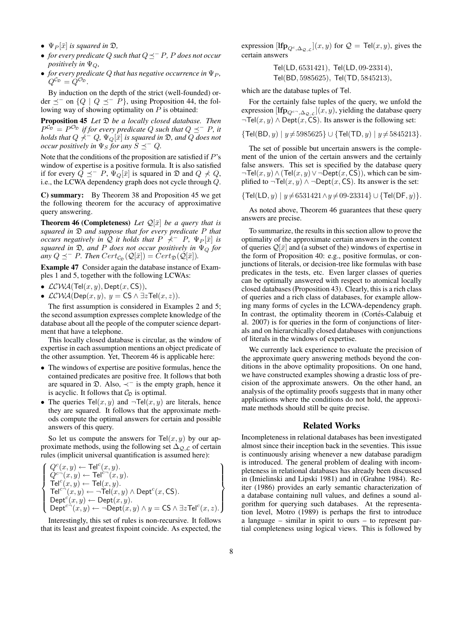- $\Psi_P[\bar{x}]$  *is squared in*  $\mathfrak{D}$ *,*
- *for every predicate* Q *such that* Q<sup>−</sup> P*,* P *does not occur positively in*  $\Psi_{\mathcal{O}}$ *,*
- *for every predicate*  $Q$  *that has negative occurrence in*  $\Psi_P$ *,*  $Q^{\mathcal{C}_{\mathfrak{D}}} = Q^{\mathcal{O}_{\mathfrak{D}}}$ .

By induction on the depth of the strict (well-founded) order  $\preceq^-$  on  $\{Q \mid Q \preceq^- P\}$ , using Proposition 44, the following way of showing optimality on  $P$  is obtained:

Proposition 45 *Let* D *be a locally closed database. Then*  $P^{\mathcal{C}_{\mathfrak{D}}} = P^{\mathcal{O}_{\mathfrak{D}}}$  *if for every predicate* Q such that  $Q \preceq^{-} P$ *, it holds that*  $Q \nmid \negthinspace^{\mathcal{L}} Q$ ,  $\Psi_Q[\bar{x}]$  *is squared in*  $\mathfrak{D}$ *, and*  $Q$  *does not occur positively in*  $\Psi_S$  *for any*  $S \preceq^- Q$ *.* 

Note that the conditions of the proposition are satisfied if  $P$ 's window of expertise is a positive formula. It is also satisfied if for every  $Q \preceq^- P$ ,  $\Psi_Q[\bar{x}]$  is squared in  $\mathfrak D$  and  $Q \nprec Q$ , i.e., the LCWA dependency graph does not cycle through Q.

C) summary: By Theorem 38 and Proposition 45 we get the following theorem for the accuracy of approximative query answering.

**Theorem 46 (Completeness)** Let  $\mathcal{Q}[\bar{x}]$  be a query that is *squared in* D *and suppose that for every predicate* P *that occurs negatively in*  $\overline{Q}$  *it holds that*  $P \nmid \overline{P} - P$ ,  $\Psi_P[\overline{x}]$  *is squared in* D*, and* P *does not occur positively in* Ψ<sup>Q</sup> *for any*  $Q \preceq^- P$ *. Then*  $Cert_{\mathcal{C}_{\mathcal{D}}}(\mathcal{Q}[\bar{x}]) = Cert_{\mathcal{D}}(\mathcal{Q}[\bar{x}])$ *.* 

Example 47 Consider again the database instance of Examples 1 and 5, together with the following LCWAs:

- $LCWA(Tel(x, y), Dept(x, CS)),$
- $\mathcal{LCWA}(\mathsf{Dep}(x, y), y = \mathsf{CS} \wedge \exists z \mathsf{Tel}(x, z)).$

The first assumption is considered in Examples 2 and 5; the second assumption expresses complete knowledge of the database about all the people of the computer science department that have a telephone.

This locally closed database is circular, as the window of expertise in each assumption mentions an object predicate of the other assumption. Yet, Theorem 46 is applicable here:

- The windows of expertise are positive formulas, hence the contained predicates are positive free. It follows that both are squared in D. Also, ≺<sup>−</sup> is the empty graph, hence it is acyclic. It follows that  $C_{\mathfrak{D}}$  is optimal.
- The queries  $\text{Tel}(x, y)$  and  $\neg \text{Tel}(x, y)$  are literals, hence they are squared. It follows that the approximate methods compute the optimal answers for certain and possible answers of this query.

So let us compute the answers for  $\text{Tel}(x, y)$  by our approximate methods, using the following set  $\Delta_{Q,\mathcal{L}}$  of certain rules (implicit universal quantification is assumed here):

$$
\left\{\begin{array}{l} Q^c(x,y) \leftarrow \text{Tel}^c(x,y).\\ Q^{c-}(x,y) \leftarrow \text{Tel}^c(x,y).\\ \text{Tel}^c(x,y) \leftarrow \text{Tel}(x,y).\\ \text{Tel}^{c-}(x,y) \leftarrow \neg \text{Tel}(x,y) \wedge \text{Depth}^c(x,\text{CS}).\\ \text{Depth}^c(x,y) \leftarrow \text{Depth}(x,y).\\ \text{Depth}^{c-}(x,y) \leftarrow \neg \text{Depth}(x,y) \wedge y = \text{CS} \wedge \exists z \text{Tel}^c(x,z). \end{array}\right\}
$$

Interestingly, this set of rules is non-recursive. It follows that its least and greatest fixpoint coincide. As expected, the expression  $[\mathbf{Ifp}_{Q^c,\Delta_{\mathcal{Q},\mathcal{L}}}(x,y)]$  for  $\mathcal{Q} = \mathsf{Tel}(x,y)$ , gives the certain answers

> Tel(LD, 6531421), Tel(LD, 09-23314), Tel(BD, 5985625), Tel(TD, 5845213),

which are the database tuples of Tel.

For the certainly false tuples of the query, we unfold the expression  $[\mathbf{Ifp}_{Q^{c-},\Delta_{\mathcal{Q},\mathcal{L}}}(x,y),$  yielding the database query  $\neg$ Tel(x, y)  $\land$  Dept(x, CS). Its answer is the following set:

 ${\mathsf{Tel}}(BD, y) | y \neq 5985625 \} \cup {\mathsf{Tel}}(TD, y) | y \neq 5845213$ .

The set of possible but uncertain answers is the complement of the union of the certain answers and the certainly false answers. This set is specified by the database query  $\neg$ Tel $(x, y) \wedge (\text{Tel}(x, y) \vee \neg \text{Depth}(x, \text{CS}))$ , which can be simplified to  $\neg$ Tel(x, y) ∧  $\neg$ Dept(x, CS). Its answer is the set:

 $\{ \text{Tel(LD}, y) \mid y \neq 6531421 \land y \neq 09-23314 \} \cup \{ \text{Tel(DF}, y) \}.$ 

As noted above, Theorem 46 guarantees that these query answers are precise.

To summarize, the results in this section allow to prove the optimality of the approximate certain answers in the context of queries  $\mathcal{Q}[\bar{x}]$  and (a subset of the) windows of expertise in the form of Proposition 40: e.g., positive formulas, or conjunctions of literals, or decision-tree like formulas with base predicates in the tests, etc. Even larger classes of queries can be optimally answered with respect to atomical locally closed databases (Proposition 43). Clearly, this is a rich class of queries and a rich class of databases, for example allowing many forms of cycles in the LCWA-dependency graph. In contrast, the optimality theorem in (Cortés-Calabuig et al. 2007) is for queries in the form of conjunctions of literals and on hierarchically closed databases with conjunctions of literals in the windows of expertise.

We currently lack experience to evaluate the precision of the approximate query answering methods beyond the conditions in the above optimality propositions. On one hand, we have constructed examples showing a drastic loss of precision of the approximate answers. On the other hand, an analysis of the optimality proofs suggests that in many other applications where the conditions do not hold, the approximate methods should still be quite precise.

### Related Works

Incompleteness in relational databases has been investigated almost since their inception back in the seventies. This issue is continuously arising whenever a new database paradigm is introduced. The general problem of dealing with incompleteness in relational databases has already been discussed in (Imielinski and Lipski 1981) and in (Grahne 1984). Reiter (1986) provides an early semantic characterization of a database containing null values, and defines a sound algorithm for querying such databases. At the representation level, Motro (1989) is perhaps the first to introduce a language – similar in spirit to ours – to represent partial completeness using logical views. This is followed by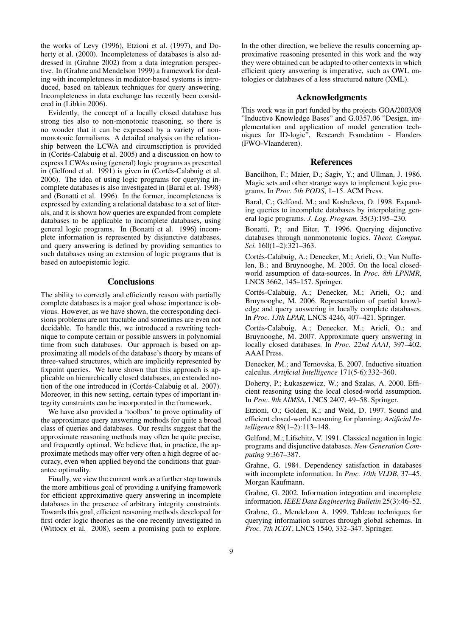the works of Levy (1996), Etzioni et al. (1997), and Doherty et al. (2000). Incompleteness of databases is also addressed in (Grahne 2002) from a data integration perspective. In (Grahne and Mendelson 1999) a framework for dealing with incompleteness in mediator-based systems is introduced, based on tableaux techniques for query answering. Incompleteness in data exchange has recently been considered in (Libkin 2006).

Evidently, the concept of a locally closed database has strong ties also to non-monotonic reasoning, so there is no wonder that it can be expressed by a variety of nonmonotonic formalisms. A detailed analysis on the relationship between the LCWA and circumscription is provided in (Cortés-Calabuig et al. 2005) and a discussion on how to express LCWAs using (general) logic programs as presented in (Gelfond et al. 1991) is given in (Cortés-Calabuig et al. 2006). The idea of using logic programs for querying incomplete databases is also investigated in (Baral et al. 1998) and (Bonatti et al. 1996). In the former, incompleteness is expressed by extending a relational database to a set of literals, and it is shown how queries are expanded from complete databases to be applicable to incomplete databases, using general logic programs. In (Bonatti et al. 1996) incomplete information is represented by disjunctive databases, and query answering is defined by providing semantics to such databases using an extension of logic programs that is based on autoepistemic logic.

# **Conclusions**

The ability to correctly and efficiently reason with partially complete databases is a major goal whose importance is obvious. However, as we have shown, the corresponding decisions problems are not tractable and sometimes are even not decidable. To handle this, we introduced a rewriting technique to compute certain or possible answers in polynomial time from such databases. Our approach is based on approximating all models of the database's theory by means of three-valued structures, which are implicitly represented by fixpoint queries. We have shown that this approach is applicable on hierarchically closed databases, an extended notion of the one introduced in (Cortés-Calabuig et al. 2007). Moreover, in this new setting, certain types of important integrity constraints can be incorporated in the framework.

We have also provided a 'toolbox' to prove optimality of the approximate query answering methods for quite a broad class of queries and databases. Our results suggest that the approximate reasoning methods may often be quite precise, and frequently optimal. We believe that, in practice, the approximate methods may offer very often a high degree of accuracy, even when applied beyond the conditions that guarantee optimality.

Finally, we view the current work as a further step towards the more ambitious goal of providing a unifying framework for efficient approximative query answering in incomplete databases in the presence of arbitrary integrity constraints. Towards this goal, efficient reasoning methods developed for first order logic theories as the one recently investigated in (Wittocx et al. 2008), seem a promising path to explore.

In the other direction, we believe the results concerning approximative reasoning presented in this work and the way they were obtained can be adapted to other contexts in which efficient query answering is imperative, such as OWL ontologies or databases of a less structured nature (XML).

### Acknowledgments

This work was in part funded by the projects GOA/2003/08 "Inductive Knowledge Bases" and G.0357.06 "Design, implementation and application of model generation techniques for ID-logic", Research Foundation - Flanders (FWO-Vlaanderen).

## References

Bancilhon, F.; Maier, D.; Sagiv, Y.; and Ullman, J. 1986. Magic sets and other strange ways to implement logic programs. In *Proc. 5th PODS*, 1–15. ACM Press.

Baral, C.; Gelfond, M.; and Kosheleva, O. 1998. Expanding queries to incomplete databases by interpolating general logic programs. *J. Log. Program.* 35(3):195–230.

Bonatti, P.; and Eiter, T. 1996. Querying disjunctive databases through nonmonotonic logics. *Theor. Comput. Sci.* 160(1–2):321–363.

Cortés-Calabuig, A.; Denecker, M.; Arieli, O.; Van Nuffelen, B.; and Bruynooghe, M. 2005. On the local closedworld assumption of data-sources. In *Proc. 8th LPNMR*, LNCS 3662, 145–157. Springer.

Cortés-Calabuig, A.; Denecker, M.; Arieli, O.; and Bruynooghe, M. 2006. Representation of partial knowledge and query answering in locally complete databases. In *Proc. 13th LPAR*, LNCS 4246, 407–421. Springer.

Cortés-Calabuig, A.; Denecker, M.; Arieli, O.; and Bruynooghe, M. 2007. Approximate query answering in locally closed databases. In *Proc. 22nd AAAI*, 397–402. AAAI Press.

Denecker, M.; and Ternovska, E. 2007. Inductive situation calculus. *Artificial Intelligence* 171(5-6):332–360.

Doherty, P.; Łukaszewicz, W.; and Szalas, A. 2000. Efficient reasoning using the local closed-world assumption. In *Proc. 9th AIMSA*, LNCS 2407, 49–58. Springer.

Etzioni, O.; Golden, K.; and Weld, D. 1997. Sound and efficient closed-world reasoning for planning. *Artificial Intelligence* 89(1–2):113–148.

Gelfond, M.; Lifschitz, V. 1991. Classical negation in logic programs and disjunctive databases. *New Generation Computing* 9:367–387.

Grahne, G. 1984. Dependency satisfaction in databases with incomplete information. In *Proc. 10th VLDB*, 37–45. Morgan Kaufmann.

Grahne, G. 2002. Information integration and incomplete information. *IEEE Data Engineering Bulletin* 25(3):46–52.

Grahne, G., Mendelzon A. 1999. Tableau techniques for querying information sources through global schemas. In *Proc. 7th ICDT*, LNCS 1540, 332–347. Springer.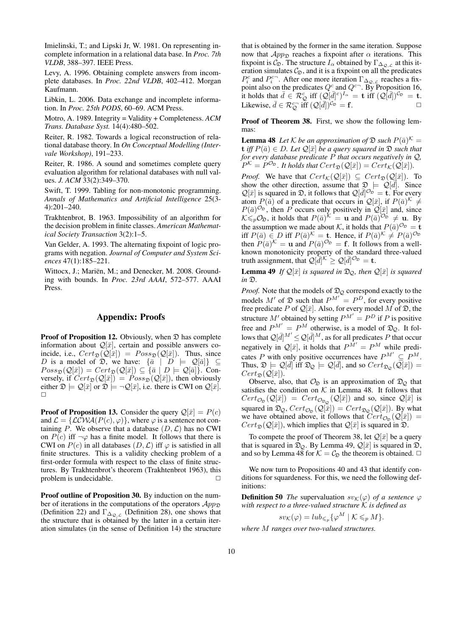Imielinski, T.; and Lipski Jr, W. 1981. On representing incomplete information in a relational data base. In *Proc. 7th VLDB*, 388–397. IEEE Press.

Levy, A. 1996. Obtaining complete answers from incomplete databases. In *Proc. 22nd VLDB*, 402–412. Morgan Kaufmann.

Libkin, L. 2006. Data exchange and incomplete information. In *Proc. 25th PODS*, 60–69. ACM Press.

Motro, A. 1989. Integrity = Validity + Completeness. *ACM Trans. Database Syst.* 14(4):480–502.

Reiter, R. 1982. Towards a logical reconstruction of relational database theory. In *On Conceptual Modelling (Intervale Workshop)*, 191–233.

Reiter, R. 1986. A sound and sometimes complete query evaluation algorithm for relational databases with null values. *J. ACM* 33(2):349–370.

Swift, T. 1999. Tabling for non-monotonic programming. *Annals of Mathematics and Artificial Intelligence* 25(3- 4):201–240.

Trakhtenbrot, B. 1963. Impossibility of an algorithm for the decision problem in finite classes. *American Mathematical Society Transaction* 3(2):1–5.

Van Gelder, A. 1993. The alternating fixpoint of logic programs with negation. *Journal of Computer and System Sciences* 47(1):185–221.

Wittocx, J.; Mariën, M.; and Denecker, M. 2008. Grounding with bounds. In *Proc. 23rd AAAI*, 572–577. AAAI Press.

## Appendix: Proofs

**Proof of Proposition 12.** Obviously, when  $\mathcal{D}$  has complete information about  $\mathcal{Q}[\bar{x}]$ , certain and possible answers coincide, i.e.,  $Cert_{\mathfrak{D}}(\mathcal{Q}[\bar{x}]) = Poss_{\mathfrak{D}}(\mathcal{Q}[\bar{x}])$ . Thus, since D is a model of  $\mathfrak{D}$ , we have:  $\{\bar{a} \mid D \models \mathcal{Q}[\bar{a}]\}\subseteq$  $Poss_{\mathfrak{D}}(\mathcal{Q}[\bar{x}]) = cert_{\mathfrak{D}}(\mathcal{Q}[\bar{x}]) \subseteq {\bar{a} \mid D \models \mathcal{Q}[\bar{a}]}$ . Conversely, if  $Cert_{\mathfrak{D}}(Q[\bar{x}]) = Poss_{\mathfrak{D}}(Q[\bar{x}])$ , then obviously either  $\mathfrak{D} \models \mathcal{Q}[\bar{x}]$  or  $\mathfrak{D} \models \neg \mathcal{Q}[\bar{x}]$ , i.e. there is CWI on  $\mathcal{Q}[\bar{x}]$ .  $\Box$ 

**Proof of Proposition 13.** Consider the query  $\mathcal{Q}[\bar{x}] = P(c)$ and  $\mathcal{L} = \{ \mathcal{LCWA}(P(c), \varphi) \}$ , where  $\varphi$  is a sentence not containing P. We observe that a database  $(D, \mathcal{L})$  has no CWI on  $P(c)$  iff  $\neg \varphi$  has a finite model. It follows that there is CWI on  $P(c)$  in all databases  $(D, \mathcal{L})$  iff  $\varphi$  is satisfied in all finite structures. This is a validity checking problem of a first-order formula with respect to the class of finite structures. By Trakhtenbrot's theorem (Trakhtenbrot 1963), this problem is undecidable.  $\Box$ 

Proof outline of Proposition 30. By induction on the number of iterations in the computations of the operators  $App_{\mathcal{D}}$ (Definition 22) and  $\Gamma_{\Delta_{\mathcal{Q},\mathcal{L}}}$  (Definition 28), one shows that the structure that is obtained by the latter in a certain iteration simulates (in the sense of Definition 14) the structure

that is obtained by the former in the same iteration. Suppose now that  $App_{\mathfrak{D}}$  reaches a fixpoint after  $\alpha$  iterations. This fixpoint is  $\mathcal{C}_{\mathfrak{D}}$ . The structure  $I_{\alpha}$  obtained by  $\Gamma_{\Delta_{\mathcal{Q},\mathcal{L}}}$  at this iteration simulates  $C_{\mathfrak{D}}$ , and it is a fixpoint on all the predicates  $P_i^c$  and  $P_i^{c-}$ . After one more iteration  $\Gamma_{\Delta_{\mathcal{Q},\mathcal{L}}}$  reaches a fixpoint also on the predicates  $Q^c$  and  $Q^{c-}$ . By Proposition 16, it holds that  $\bar{d} \in \mathcal{R}_{\mathcal{Q}}^c$  iff  $(\mathcal{Q}[\bar{d}]^c)^{I_{\alpha}} = \mathbf{t}$  iff  $(\mathcal{Q}[\bar{d}])^{C_{\mathfrak{D}}} = \mathbf{t}$ . Likewise,  $\bar{d} \in \mathcal{R}_{\mathcal{Q}}^{c-}$  iff  $(\mathcal{Q}[\bar{d}])^{C_{\mathcal{D}}} = \mathbf{f}$ .

Proof of Theorem 38. First, we show the following lemmas:

**Lemma 48** Let K be an approximation of  $\mathfrak{D}$  such  $P(\bar{a})^{\mathcal{K}} =$  $\mathbf{t}$  *iff*  $P(\bar{a}) \in D$ *. Let*  $\mathcal{Q}[\bar{x}]$  *be a query squared in*  $\mathcal{D}$  *such that for every database predicate* P *that occurs negatively in* Q*,*  $P^{\mathcal K} = P^{\mathcal O_{\mathfrak{D}}}$  . It holds that  $Cert_{\mathfrak{D}}(\mathcal{Q}[\bar x]) = Cert_{\mathcal K}(\mathcal{Q}[\bar x]).$ 

*Proof.* We have that  $Cert_{\mathcal{K}}(\mathcal{Q}[\bar{x}]) \subseteq Cert_{\mathfrak{D}}(\mathcal{Q}[\bar{x}])$ . To show the other direction, assume that  $\mathfrak{D} \models \widetilde{\mathcal{Q}}[\vec{d}]$ . Since  $\mathcal{Q}[\bar{x}]$  is squared in  $\mathfrak{D}$ , it follows that  $\mathcal{Q}[\bar{d}]^{\mathcal{O}_{\mathfrak{D}}} = \mathbf{t}$ . For every atom  $P(\bar{a})$  of a predicate that occurs in  $\mathcal{Q}[\bar{x}]$ , if  $P(\bar{a})^{\mathcal{K}} \neq$  $P(\bar{a})^{\mathcal{O}_{\mathfrak{D}}}$ , then P occurs only positively in  $\mathcal{Q}[\bar{x}]$  and, since  $K \leqslant_p O_{\mathfrak{D}}$ , it holds that  $P(\bar{a})^{\mathcal{K}} = \mathbf{u}$  and  $P(\bar{a})^{O_{\mathfrak{D}}} \neq \mathbf{u}$ . By the assumption we made about K, it holds that  $P(\bar{a})^{\mathcal{O}_{\mathfrak{D}}} = \mathbf{t}$ iff  $P(\bar{a}) \in D$  iff  $P(\bar{a})^{\mathcal{K}} = \mathbf{t}$ . Hence, if  $P(\bar{a})^{\mathcal{K}} \neq P(\bar{a})^{\mathcal{O}_{\mathfrak{D}}}$ then  $P(\bar{a})^{\mathcal{K}} = \mathbf{u}$  and  $P(\bar{a})^{\mathcal{O}_{\mathfrak{D}}} = \mathbf{f}$ . It follows from a wellknown monotonicity property of the standard three-valued truth assignment, that  $\mathcal{Q}[\bar{d}]^{\mathcal{K}} \geq \mathcal{Q}[\bar{d}]^{\mathcal{O}_{\mathfrak{D}}} = \mathbf{t}.$ 

**Lemma 49** *If*  $\mathcal{Q}[\bar{x}]$  *is squared in*  $\mathcal{D}_{\mathcal{Q}}$ *, then*  $\mathcal{Q}[\bar{x}]$  *is squared in* D*.*

*Proof.* Note that the models of  $\mathfrak{D}_{\mathcal{Q}}$  correspond exactly to the models M' of  $\mathfrak D$  such that  $P^{M'} = P^D$ , for every positive free predicate P of  $\mathcal{Q}[\bar{x}]$ . Also, for every model M of  $\mathfrak{D}$ , the structure M' obtained by setting  $P^{M'} = P^D$  if P is positive free and  $P^{M'} = P^M$  otherwise, is a model of  $\mathfrak{D}_{Q}$ . It follows that  $\mathcal{Q}[\bar{d}]^{M'} \leq \mathcal{Q}[\bar{d}]^{M}$ , as for all predicates P that occur negatively in  $\mathcal{Q}[\bar{x}]$ , it holds that  $P^{\bar{M}'} = P^M$  while predicates P with only positive occurrences have  $P^{M'} \subseteq P^M$ . Thus,  $\mathfrak{D} \models \mathcal{Q}[\bar{d}]$  iff  $\mathfrak{D}_{\mathcal{Q}} \models \mathcal{Q}[\bar{d}]$ , and so  $Cert_{\mathfrak{D}_{\mathcal{Q}}}(\overline{\mathcal{Q}}[\bar{x}])$  $Cert_{\mathfrak{D}}(\mathcal{Q}[\bar{x}]).$ 

Observe, also, that  $\mathcal{O}_{\mathfrak{D}}$  is an approximation of  $\mathfrak{D}_{\mathcal{O}}$  that satisfies the condition on  $K$  in Lemma 48. It follows that  $Cert_{\mathcal{O}_{\mathfrak{D}}}(\mathcal{Q}[\bar{x}]) = Cert_{\mathcal{O}_{\mathfrak{D}_{\mathcal{Q}}}}(\mathcal{Q}[\bar{x}])$  and so, since  $\mathcal{Q}[\bar{x}]$  is squared in  $\mathfrak{D}_{\mathcal{Q}}$ ,  $Cert_{\mathcal{O}_{\mathfrak{D}}}(\mathcal{Q}[\bar{x}]) = Cert_{\mathfrak{D}_{\mathcal{Q}}}(\mathcal{Q}[\bar{x}])$ . By what we have obtained above, it follows that  $\overline{Cert_{\mathcal{O}_{\mathcal{D}}}(Q[\bar{x}])}$  =  $Cert_{\mathfrak{D}}(\mathcal{Q}[\bar{x}])$ , which implies that  $\mathcal{Q}[\bar{x}]$  is squared in  $\mathfrak{D}$ .

To compete the proof of Theorem 38, let  $\mathcal{Q}[\bar{x}]$  be a query that is squared in  $\mathfrak{D}_{\mathcal{Q}}$ . By Lemma 49,  $\mathcal{Q}[\bar{x}]$  is squared in  $\mathfrak{D}$ , and so by Lemma 48 for  $K = C_{\Omega}$  the theorem is obtained.  $\Box$ 

We now turn to Propositions 40 and 43 that identify conditions for squardeness. For this, we need the following definitions:

**Definition 50** *The* supervaluation  $sv_{\mathcal{K}}(\varphi)$  *of a sentence*  $\varphi$ *with respect to a three-valued structure* K *is defined as*

$$
sv_{\mathcal{K}}(\varphi) = lub_{\leqslant_p}\{\varphi^M \mid \mathcal{K} \leqslant_p M\}.
$$

*where* M *ranges over two-valued structures.*